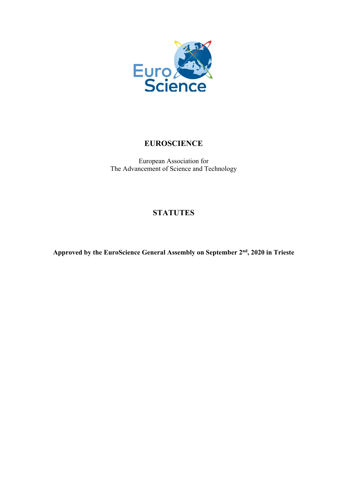

# **EUROSCIENCE**

European Association for The Advancement of Science and Technology

# **STATUTES**

**Approved by the EuroScience General Assembly on September 2nd, 2020 in Trieste**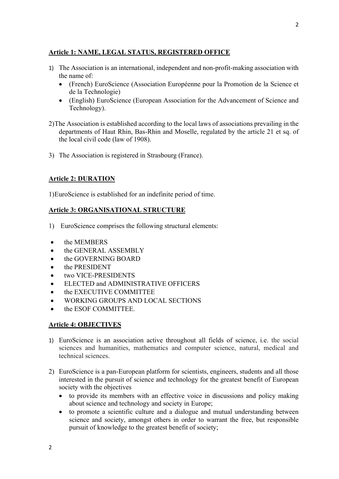# **Article 1: NAME, LEGAL STATUS, REGISTERED OFFICE**

- 1) The Association is an international, independent and non-profit-making association with the name of:
	- (French) EuroScience (Association Européenne pour la Promotion de la Science et de la Technologie)
	- (English) EuroScience (European Association for the Advancement of Science and Technology).
- 2)The Association is established according to the local laws of associations prevailing in the departments of Haut Rhin, Bas-Rhin and Moselle, regulated by the article 21 et sq. of the local civil code (law of 1908).
- 3) The Association is registered in Strasbourg (France).

### **Article 2: DURATION**

1)EuroScience is established for an indefinite period of time.

#### **Article 3: ORGANISATIONAL STRUCTURE**

- 1) EuroScience comprises the following structural elements:
- the MEMBERS
- the GENERAL ASSEMBLY
- the GOVERNING BOARD
- the PRESIDENT
- two VICE-PRESIDENTS
- ELECTED and ADMINISTRATIVE OFFICERS
- the EXECUTIVE COMMITTEE
- WORKING GROUPS AND LOCAL SECTIONS
- the ESOF COMMITTEE.

### **Article 4: OBJECTIVES**

- 1) EuroScience is an association active throughout all fields of science, i.e. the social sciences and humanities, mathematics and computer science, natural, medical and technical sciences.
- 2) EuroScience is a pan-European platform for scientists, engineers, students and all those interested in the pursuit of science and technology for the greatest benefit of European society with the objectives
	- to provide its members with an effective voice in discussions and policy making about science and technology and society in Europe;
	- to promote a scientific culture and a dialogue and mutual understanding between science and society, amongst others in order to warrant the free, but responsible pursuit of knowledge to the greatest benefit of society;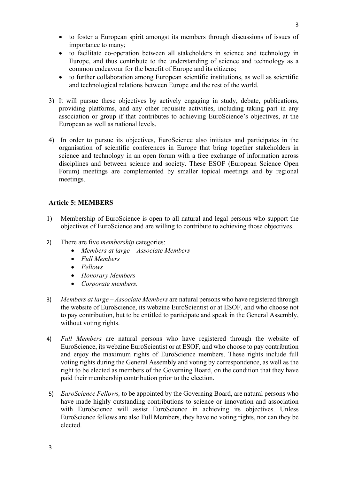- to foster a European spirit amongst its members through discussions of issues of importance to many;
- to facilitate co-operation between all stakeholders in science and technology in Europe, and thus contribute to the understanding of science and technology as a common endeavour for the benefit of Europe and its citizens;
- to further collaboration among European scientific institutions, as well as scientific and technological relations between Europe and the rest of the world.
- 3) It will pursue these objectives by actively engaging in study, debate, publications, providing platforms, and any other requisite activities, including taking part in any association or group if that contributes to achieving EuroScience's objectives, at the European as well as national levels.
- 4) In order to pursue its objectives, EuroScience also initiates and participates in the organisation of scientific conferences in Europe that bring together stakeholders in science and technology in an open forum with a free exchange of information across disciplines and between science and society. These ESOF (European Science Open Forum) meetings are complemented by smaller topical meetings and by regional meetings.

# **Article 5: MEMBERS**

- 1) Membership of EuroScience is open to all natural and legal persons who support the objectives of EuroScience and are willing to contribute to achieving those objectives.
- 2) There are five *membership* categories:
	- *Members at large – Associate Members*
	- *Full Members*
	- *Fellows*
	- *Honorary Members*
	- *Corporate members.*
- 3) *Members at large – Associate Members* are natural persons who have registered through the website of EuroScience, its webzine EuroScientist or at ESOF, and who choose not to pay contribution, but to be entitled to participate and speak in the General Assembly, without voting rights.
- 4) *Full Members* are natural persons who have registered through the website of EuroScience, its webzine EuroScientist or at ESOF, and who choose to pay contribution and enjoy the maximum rights of EuroScience members. These rights include full voting rights during the General Assembly and voting by correspondence, as well as the right to be elected as members of the Governing Board, on the condition that they have paid their membership contribution prior to the election.
- 5) *EuroScience Fellows,* to be appointed by the Governing Board, are natural persons who have made highly outstanding contributions to science or innovation and association with EuroScience will assist EuroScience in achieving its objectives. Unless EuroScience fellows are also Full Members, they have no voting rights, nor can they be elected.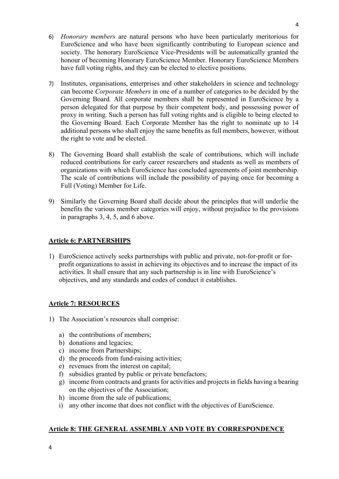- 6) *Honorary members* are natural persons who have been particularly meritorious for EuroScience and who have been significantly contributing to European science and society. The honorary EuroScience Vice-Presidents will be automatically granted the honour of becoming Honorary EuroScience Member. Honorary EuroScience Members have full voting rights, and they can be elected to elective positions.
- 7) Institutes, organisations, enterprises and other stakeholders in science and technology can become *Corporate Members* in one of a number of categories to be decided by the Governing Board*.* All corporate members shall be represented in EuroScience by a person delegated for that purpose by their competent body, and possessing power of proxy in writing. Such a person has full voting rights and is eligible to being elected to the Governing Board. Each Corporate Member has the right to nominate up to 14 additional persons who shall enjoy the same benefits as full members, however, without the right to vote and be elected.
- 8) The Governing Board shall establish the scale of contributions, which will include reduced contributions for early career researchers and students as well as members of organizations with which EuroScience has concluded agreements of joint membership. The scale of contributions will include the possibility of paying once for becoming a Full (Voting) Member for Life.
- 9) Similarly the Governing Board shall decide about the principles that will underlie the benefits the various member categories will enjoy, without prejudice to the provisions in paragraphs 3, 4, 5, and 6 above.

# **Article 6: PARTNERSHIPS**

1) EuroScience actively seeks partnerships with public and private, not-for-profit or forprofit organizations to assist in achieving its objectives and to increase the impact of its activities. It shall ensure that any such partnership is in line with EuroScience's objectives, and any standards and codes of conduct it establishes.

# **Article 7: RESOURCES**

- 1) The Association's resources shall comprise:
	- a) the contributions of members;
	- b) donations and legacies;
	- c) income from Partnerships;
	- d) the proceeds from fund-raising activities;
	- e) revenues from the interest on capital;
	- f) subsidies granted by public or private benefactors;
	- g) income from contracts and grants for activities and projects in fields having a bearing on the objectives of the Association;
	- h) income from the sale of publications;
	- i) any other income that does not conflict with the objectives of EuroScience.

# **Article 8: THE GENERAL ASSEMBLY AND VOTE BY CORRESPONDENCE**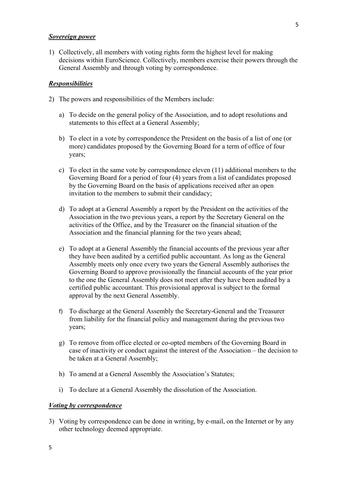#### *Sovereign power*

1) Collectively, all members with voting rights form the highest level for making decisions within EuroScience. Collectively, members exercise their powers through the General Assembly and through voting by correspondence.

#### *Responsibilities*

- 2) The powers and responsibilities of the Members include:
	- a) To decide on the general policy of the Association, and to adopt resolutions and statements to this effect at a General Assembly;
	- b) To elect in a vote by correspondence the President on the basis of a list of one (or more) candidates proposed by the Governing Board for a term of office of four years;
	- c) To elect in the same vote by correspondence eleven (11) additional members to the Governing Board for a period of four (4) years from a list of candidates proposed by the Governing Board on the basis of applications received after an open invitation to the members to submit their candidacy;
	- d) To adopt at a General Assembly a report by the President on the activities of the Association in the two previous years, a report by the Secretary General on the activities of the Office, and by the Treasurer on the financial situation of the Association and the financial planning for the two years ahead;
	- e) To adopt at a General Assembly the financial accounts of the previous year after they have been audited by a certified public accountant. As long as the General Assembly meets only once every two years the General Assembly authorises the Governing Board to approve provisionally the financial accounts of the year prior to the one the General Assembly does not meet after they have been audited by a certified public accountant. This provisional approval is subject to the formal approval by the next General Assembly.
	- f) To discharge at the General Assembly the Secretary-General and the Treasurer from liability for the financial policy and management during the previous two years;
	- g) To remove from office elected or co-opted members of the Governing Board in case of inactivity or conduct against the interest of the Association – the decision to be taken at a General Assembly;
	- h) To amend at a General Assembly the Association's Statutes;
	- i) To declare at a General Assembly the dissolution of the Association.

#### *Voting by correspondence*

3) Voting by correspondence can be done in writing, by e-mail, on the Internet or by any other technology deemed appropriate.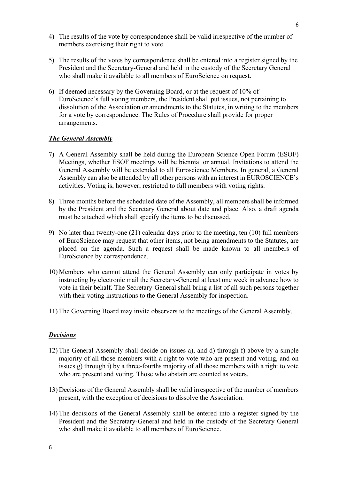- 4) The results of the vote by correspondence shall be valid irrespective of the number of members exercising their right to vote.
- 5) The results of the votes by correspondence shall be entered into a register signed by the President and the Secretary-General and held in the custody of the Secretary General who shall make it available to all members of EuroScience on request.
- 6) If deemed necessary by the Governing Board, or at the request of 10% of EuroScience's full voting members, the President shall put issues, not pertaining to dissolution of the Association or amendments to the Statutes, in writing to the members for a vote by correspondence. The Rules of Procedure shall provide for proper arrangements.

# *The General Assembly*

- 7) A General Assembly shall be held during the European Science Open Forum (ESOF) Meetings, whether ESOF meetings will be biennial or annual. Invitations to attend the General Assembly will be extended to all Euroscience Members. In general, a General Assembly can also be attended by all other persons with an interest in EUROSCIENCE's activities. Voting is, however, restricted to full members with voting rights.
- 8) Three months before the scheduled date of the Assembly, all members shall be informed by the President and the Secretary General about date and place. Also, a draft agenda must be attached which shall specify the items to be discussed.
- 9) No later than twenty-one (21) calendar days prior to the meeting, ten (10) full members of EuroScience may request that other items, not being amendments to the Statutes, are placed on the agenda. Such a request shall be made known to all members of EuroScience by correspondence.
- 10) Members who cannot attend the General Assembly can only participate in votes by instructing by electronic mail the Secretary-General at least one week in advance how to vote in their behalf. The Secretary-General shall bring a list of all such persons together with their voting instructions to the General Assembly for inspection.
- 11) The Governing Board may invite observers to the meetings of the General Assembly.

### *Decisions*

- 12) The General Assembly shall decide on issues a), and d) through f) above by a simple majority of all those members with a right to vote who are present and voting, and on issues g) through i) by a three-fourths majority of all those members with a right to vote who are present and voting. Those who abstain are counted as voters.
- 13) Decisions of the General Assembly shall be valid irrespective of the number of members present, with the exception of decisions to dissolve the Association.
- 14) The decisions of the General Assembly shall be entered into a register signed by the President and the Secretary-General and held in the custody of the Secretary General who shall make it available to all members of EuroScience.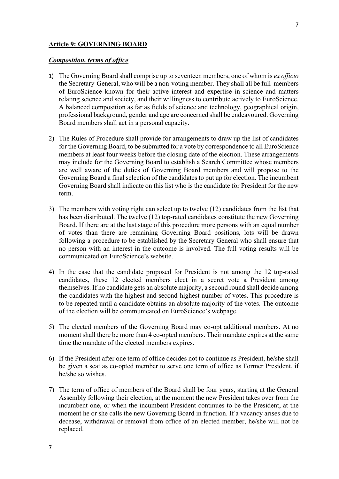#### **Article 9: GOVERNING BOARD**

#### *Composition, terms of office*

- 1) The Governing Board shall comprise up to seventeen members, one of whom is *ex officio* the Secretary-General, who will be a non-voting member. They shall all be full members of EuroScience known for their active interest and expertise in science and matters relating science and society, and their willingness to contribute actively to EuroScience. A balanced composition as far as fields of science and technology, geographical origin, professional background, gender and age are concerned shall be endeavoured. Governing Board members shall act in a personal capacity.
- 2) The Rules of Procedure shall provide for arrangements to draw up the list of candidates for the Governing Board, to be submitted for a vote by correspondence to all EuroScience members at least four weeks before the closing date of the election. These arrangements may include for the Governing Board to establish a Search Committee whose members are well aware of the duties of Governing Board members and will propose to the Governing Board a final selection of the candidates to put up for election. The incumbent Governing Board shall indicate on this list who is the candidate for President for the new term.
- 3) The members with voting right can select up to twelve (12) candidates from the list that has been distributed. The twelve (12) top-rated candidates constitute the new Governing Board. If there are at the last stage of this procedure more persons with an equal number of votes than there are remaining Governing Board positions, lots will be drawn following a procedure to be established by the Secretary General who shall ensure that no person with an interest in the outcome is involved. The full voting results will be communicated on EuroScience's website.
- 4) In the case that the candidate proposed for President is not among the 12 top-rated candidates, these 12 elected members elect in a secret vote a President among themselves. If no candidate gets an absolute majority, a second round shall decide among the candidates with the highest and second-highest number of votes. This procedure is to be repeated until a candidate obtains an absolute majority of the votes. The outcome of the election will be communicated on EuroScience's webpage.
- 5) The elected members of the Governing Board may co-opt additional members. At no moment shall there be more than 4 co-opted members. Their mandate expires at the same time the mandate of the elected members expires.
- 6) If the President after one term of office decides not to continue as President, he/she shall be given a seat as co-opted member to serve one term of office as Former President, if he/she so wishes.
- 7) The term of office of members of the Board shall be four years, starting at the General Assembly following their election, at the moment the new President takes over from the incumbent one, or when the incumbent President continues to be the President, at the moment he or she calls the new Governing Board in function. If a vacancy arises due to decease, withdrawal or removal from office of an elected member, he/she will not be replaced.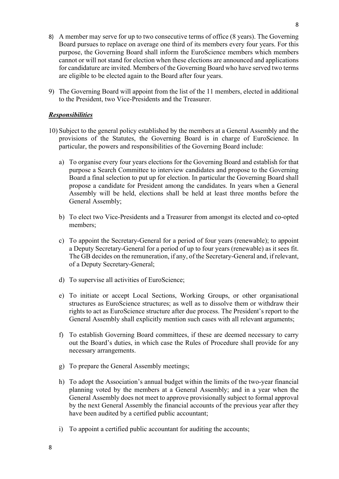- 8) A member may serve for up to two consecutive terms of office (8 years). The Governing Board pursues to replace on average one third of its members every four years. For this purpose, the Governing Board shall inform the EuroScience members which members cannot or will not stand for election when these elections are announced and applications for candidature are invited. Members of the Governing Board who have served two terms are eligible to be elected again to the Board after four years.
- 9) The Governing Board will appoint from the list of the 11 members, elected in additional to the President, two Vice-Presidents and the Treasurer.

# *Responsibilities*

- 10) Subject to the general policy established by the members at a General Assembly and the provisions of the Statutes, the Governing Board is in charge of EuroScience. In particular, the powers and responsibilities of the Governing Board include:
	- a) To organise every four years elections for the Governing Board and establish for that purpose a Search Committee to interview candidates and propose to the Governing Board a final selection to put up for election. In particular the Governing Board shall propose a candidate for President among the candidates. In years when a General Assembly will be held, elections shall be held at least three months before the General Assembly;
	- b) To elect two Vice-Presidents and a Treasurer from amongst its elected and co-opted members;
	- c) To appoint the Secretary-General for a period of four years (renewable); to appoint a Deputy Secretary-General for a period of up to four years (renewable) as it sees fit. The GB decides on the remuneration, if any, of the Secretary-General and, if relevant, of a Deputy Secretary-General;
	- d) To supervise all activities of EuroScience;
	- e) To initiate or accept Local Sections, Working Groups, or other organisational structures as EuroScience structures; as well as to dissolve them or withdraw their rights to act as EuroScience structure after due process. The President's report to the General Assembly shall explicitly mention such cases with all relevant arguments;
	- f) To establish Governing Board committees, if these are deemed necessary to carry out the Board's duties, in which case the Rules of Procedure shall provide for any necessary arrangements.
	- g) To prepare the General Assembly meetings;
	- h) To adopt the Association's annual budget within the limits of the two-year financial planning voted by the members at a General Assembly; and in a year when the General Assembly does not meet to approve provisionally subject to formal approval by the next General Assembly the financial accounts of the previous year after they have been audited by a certified public accountant;
	- i) To appoint a certified public accountant for auditing the accounts;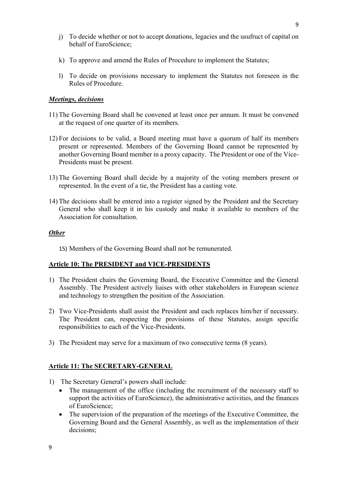- k) To approve and amend the Rules of Procedure to implement the Statutes;
- l) To decide on provisions necessary to implement the Statutes not foreseen in the Rules of Procedure.

# *Meetings, decisions*

- 11) The Governing Board shall be convened at least once per annum. It must be convened at the request of one quarter of its members.
- 12) For decisions to be valid, a Board meeting must have a quorum of half its members present or represented. Members of the Governing Board cannot be represented by another Governing Board member in a proxy capacity. The President or one of the Vice-Presidents must be present.
- 13) The Governing Board shall decide by a majority of the voting members present or represented. In the event of a tie, the President has a casting vote.
- 14) The decisions shall be entered into a register signed by the President and the Secretary General who shall keep it in his custody and make it available to members of the Association for consultation.

### *Other*

15) Members of the Governing Board shall not be remunerated.

### **Article 10: The PRESIDENT and VICE-PRESIDENTS**

- 1) The President chairs the Governing Board, the Executive Committee and the General Assembly. The President actively liaises with other stakeholders in European science and technology to strengthen the position of the Association.
- 2) Two Vice-Presidents shall assist the President and each replaces him/her if necessary. The President can, respecting the provisions of these Statutes, assign specific responsibilities to each of the Vice-Presidents.
- 3) The President may serve for a maximum of two consecutive terms (8 years).

# **Article 11: The SECRETARY-GENERAL**

- 1) The Secretary General's powers shall include:
	- The management of the office (including the recruitment of the necessary staff to support the activities of EuroScience), the administrative activities, and the finances of EuroScience;
	- The supervision of the preparation of the meetings of the Executive Committee, the Governing Board and the General Assembly, as well as the implementation of their decisions;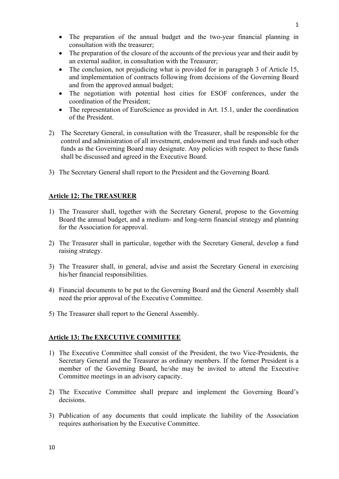- The preparation of the annual budget and the two-year financial planning in consultation with the treasurer;
- The preparation of the closure of the accounts of the previous year and their audit by an external auditor, in consultation with the Treasurer;
- The conclusion, not prejudicing what is provided for in paragraph 3 of Article 15, and implementation of contracts following from decisions of the Governing Board and from the approved annual budget;
- The negotiation with potential host cities for ESOF conferences, under the coordination of the President;
- The representation of EuroScience as provided in Art. 15.1, under the coordination of the President.
- 2) The Secretary General, in consultation with the Treasurer, shall be responsible for the control and administration of all investment, endowment and trust funds and such other funds as the Governing Board may designate. Any policies with respect to these funds shall be discussed and agreed in the Executive Board.
- 3) The Secretary General shall report to the President and the Governing Board.

### **Article 12: The TREASURER**

- 1) The Treasurer shall, together with the Secretary General, propose to the Governing Board the annual budget, and a medium- and long-term financial strategy and planning for the Association for approval.
- 2) The Treasurer shall in particular, together with the Secretary General, develop a fund raising strategy.
- 3) The Treasurer shall, in general, advise and assist the Secretary General in exercising his/her financial responsibilities.
- 4) Financial documents to be put to the Governing Board and the General Assembly shall need the prior approval of the Executive Committee.
- 5) The Treasurer shall report to the General Assembly.

### **Article 13: The EXECUTIVE COMMITTEE**

- 1) The Executive Committee shall consist of the President, the two Vice-Presidents, the Secretary General and the Treasurer as ordinary members. If the former President is a member of the Governing Board, he/she may be invited to attend the Executive Committee meetings in an advisory capacity.
- 2) The Executive Committee shall prepare and implement the Governing Board's decisions.
- 3) Publication of any documents that could implicate the liability of the Association requires authorisation by the Executive Committee.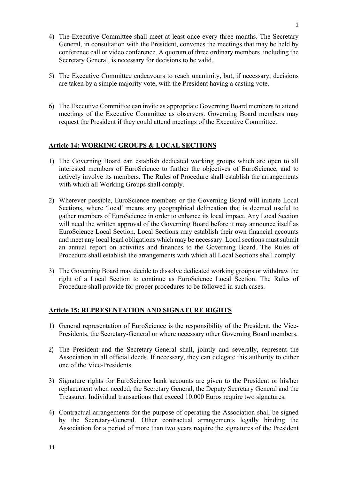- 4) The Executive Committee shall meet at least once every three months. The Secretary General, in consultation with the President, convenes the meetings that may be held by conference call or video conference. A quorum of three ordinary members, including the Secretary General, is necessary for decisions to be valid.
- 5) The Executive Committee endeavours to reach unanimity, but, if necessary, decisions are taken by a simple majority vote, with the President having a casting vote.
- 6) The Executive Committee can invite as appropriate Governing Board members to attend meetings of the Executive Committee as observers. Governing Board members may request the President if they could attend meetings of the Executive Committee.

# **Article 14: WORKING GROUPS & LOCAL SECTIONS**

- 1) The Governing Board can establish dedicated working groups which are open to all interested members of EuroScience to further the objectives of EuroScience, and to actively involve its members. The Rules of Procedure shall establish the arrangements with which all Working Groups shall comply.
- 2) Wherever possible, EuroScience members or the Governing Board will initiate Local Sections, where 'local' means any geographical delineation that is deemed useful to gather members of EuroScience in order to enhance its local impact. Any Local Section will need the written approval of the Governing Board before it may announce itself as EuroScience Local Section. Local Sections may establish their own financial accounts and meet any local legal obligations which may be necessary. Local sections must submit an annual report on activities and finances to the Governing Board. The Rules of Procedure shall establish the arrangements with which all Local Sections shall comply.
- 3) The Governing Board may decide to dissolve dedicated working groups or withdraw the right of a Local Section to continue as EuroScience Local Section. The Rules of Procedure shall provide for proper procedures to be followed in such cases.

### **Article 15: REPRESENTATION AND SIGNATURE RIGHTS**

- 1) General representation of EuroScience is the responsibility of the President, the Vice-Presidents, the Secretary-General or where necessary other Governing Board members.
- 2) The President and the Secretary-General shall, jointly and severally, represent the Association in all official deeds. If necessary, they can delegate this authority to either one of the Vice-Presidents.
- 3) Signature rights for EuroScience bank accounts are given to the President or his/her replacement when needed, the Secretary General, the Deputy Secretary General and the Treasurer. Individual transactions that exceed 10.000 Euros require two signatures.
- 4) Contractual arrangements for the purpose of operating the Association shall be signed by the Secretary-General. Other contractual arrangements legally binding the Association for a period of more than two years require the signatures of the President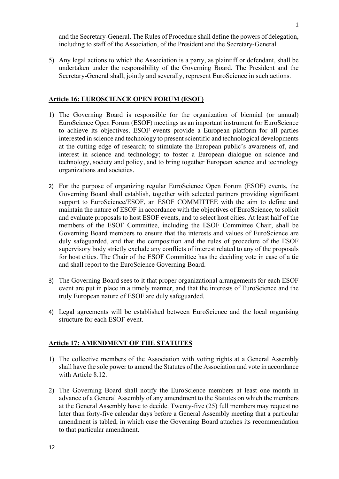and the Secretary-General. The Rules of Procedure shall define the powers of delegation, including to staff of the Association, of the President and the Secretary-General.

5) Any legal actions to which the Association is a party, as plaintiff or defendant, shall be undertaken under the responsibility of the Governing Board. The President and the Secretary-General shall, jointly and severally, represent EuroScience in such actions.

### **Article 16: EUROSCIENCE OPEN FORUM (ESOF)**

- 1) The Governing Board is responsible for the organization of biennial (or annual) EuroScience Open Forum (ESOF) meetings as an important instrument for EuroScience to achieve its objectives. ESOF events provide a European platform for all parties interested in science and technology to present scientific and technological developments at the cutting edge of research; to stimulate the European public's awareness of, and interest in science and technology; to foster a European dialogue on science and technology, society and policy, and to bring together European science and technology organizations and societies.
- 2) For the purpose of organizing regular EuroScience Open Forum (ESOF) events, the Governing Board shall establish, together with selected partners providing significant support to EuroScience/ESOF, an ESOF COMMITTEE with the aim to define and maintain the nature of ESOF in accordance with the objectives of EuroScience, to solicit and evaluate proposals to host ESOF events, and to select host cities. At least half of the members of the ESOF Committee, including the ESOF Committee Chair, shall be Governing Board members to ensure that the interests and values of EuroScience are duly safeguarded, and that the composition and the rules of procedure of the ESOF supervisory body strictly exclude any conflicts of interest related to any of the proposals for host cities. The Chair of the ESOF Committee has the deciding vote in case of a tie and shall report to the EuroScience Governing Board.
- 3) The Governing Board sees to it that proper organizational arrangements for each ESOF event are put in place in a timely manner, and that the interests of EuroScience and the truly European nature of ESOF are duly safeguarded.
- 4) Legal agreements will be established between EuroScience and the local organising structure for each ESOF event.

#### **Article 17: AMENDMENT OF THE STATUTES**

- 1) The collective members of the Association with voting rights at a General Assembly shall have the sole power to amend the Statutes of the Association and vote in accordance with Article 8.12.
- 2) The Governing Board shall notify the EuroScience members at least one month in advance of a General Assembly of any amendment to the Statutes on which the members at the General Assembly have to decide. Twenty-five (25) full members may request no later than forty-five calendar days before a General Assembly meeting that a particular amendment is tabled, in which case the Governing Board attaches its recommendation to that particular amendment.